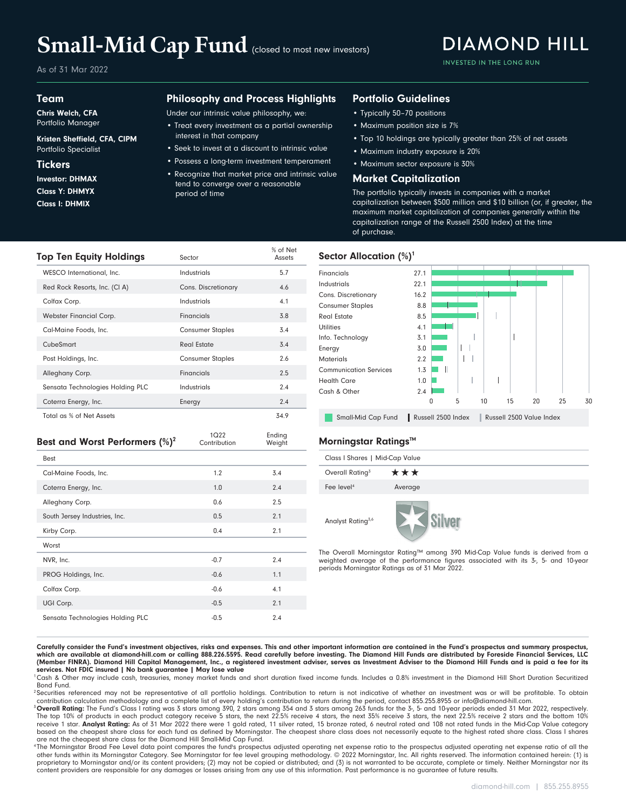# Small-Mid Cap Fund (closed to most new investors)

As of 31 Mar 2022

### Team

Chris Welch, CFA Portfolio Manager

### Kristen Sheffield, CFA, CIPM Portfolio Specialist

### **Tickers**

Class I: DHMIX Class Y: DHMYX Investor: DHMAX

### Philosophy and Process Highlights

Under our intrinsic value philosophy, we:

- Treat every investment as a partial ownership interest in that company
- Seek to invest at a discount to intrinsic value
- Possess a long-term investment temperament
- Recognize that market price and intrinsic value tend to converge over a reasonable period of time

% of Net

Ending Weight

1Q22<br>Contribution

### Portfolio Guidelines

- Typically 50–70 positions
- Maximum position size is 7%
- Top 10 holdings are typically greater than 25% of net assets

**DIAMOND HILL** 

**INVESTED IN THE LONG RUN** 

- Maximum industry exposure is 20%
- Maximum sector exposure is 30%

### Market Capitalization

The portfolio typically invests in companies with a market capitalization between \$500 million and \$10 billion (or, if greater, the maximum market capitalization of companies generally within the capitalization range of the Russell 2500 Index) at the time of purchase.



| 5.7<br>WESCO International, Inc.<br><b>Industrials</b><br><b>Financials</b>                       |   |
|---------------------------------------------------------------------------------------------------|---|
|                                                                                                   |   |
| Industrials<br>Red Rock Resorts, Inc. (CI A)<br>4.6<br>Cons. Discretionary<br>Cons. Discretionary |   |
| 4.1<br>Colfax Corp.<br><b>Industrials</b><br><b>Consumer Staples</b>                              |   |
| 3.8<br>Webster Financial Corp.<br><b>Financials</b><br>Real Estate                                |   |
| <b>Utilities</b><br>3.4<br><b>Consumer Staples</b><br>Cal-Maine Foods, Inc.                       |   |
| Info. Technology<br>3.4<br>CubeSmart<br><b>Real Estate</b><br>Energy                              |   |
| <b>Consumer Staples</b><br>2.6<br>Post Holdings, Inc.<br><b>Materials</b>                         |   |
| <b>Communication Services</b><br>2.5<br><b>Financials</b><br>Alleghany Corp.                      |   |
| <b>Health Care</b><br>2.4<br>Sensata Technologies Holding PLC<br>Industrials<br>Cash & Other      |   |
| 2.4<br>Coterra Energy, Inc.<br>Energy                                                             |   |
| Total as % of Net Assets<br>34.9<br>Small-Mid Cap Fund                                            | ш |

### **Best and Worst Performers (%)<sup>2</sup>** Contribution Weight Morningstar Ratings<sup>™</sup>

| <b>Best</b>                   |        |     |
|-------------------------------|--------|-----|
| Cal-Maine Foods, Inc.         | 1.2    | 3.4 |
| Coterra Energy, Inc.          | 1.0    | 2.4 |
| Alleghany Corp.               | 0.6    | 2.5 |
| South Jersey Industries, Inc. | 0.5    | 2.1 |
|                               |        |     |
| Kirby Corp.                   | 0.4    | 2.1 |
| Worst                         |        |     |
| NVR, Inc.                     | $-0.7$ | 2.4 |
| PROG Holdings, Inc.           | $-0.6$ | 1.1 |
| Colfax Corp.                  | $-0.6$ | 4.1 |
| UGI Corp.                     | $-0.5$ | 2.1 |

| Class I Shares   Mid-Cap Value |         |  |  |  |  |  |
|--------------------------------|---------|--|--|--|--|--|
| Overall Rating <sup>3</sup>    | ***     |  |  |  |  |  |
| Fee level <sup>4</sup>         | Average |  |  |  |  |  |
| Analyst Rating <sup>3,6</sup>  |         |  |  |  |  |  |

The Overall Morningstar Rating™ among 390 Mid-Cap Value funds is derived from a weighted average of the performance figures associated with its 3-, 5- and 10-year periods Morningstar Ratings as of 31 Mar 2022.

Carefully consider the Fund's investment objectives, risks and expenses. This and other important information are contained in the Fund's prospectus and summary prospectus, which are available at diamond-hill.com or calling 888.226.5595. Read carefully before investing. The Diamond Hill Funds are distributed by Foreside Financial Services, LLC (Member FINRA). Diamond Hill Capital Management, Inc., a registered investment adviser, serves as Investment Adviser to the Diamond Hill Funds and is paid a fee for its services. Not FDIC insured | No bank guarantee | May lose value

<sup>1</sup>Cash & Other may include cash, treasuries, money market funds and short duration fixed income funds. Includes a 0.8% investment in the Diamond Hill Short Duration Securitized Bond Fund.

<sup>2</sup> Securities referenced may not be representative of all portfolio holdings. Contribution to return is not indicative of whether an investment was or will be profitable. To obtain contribution calculation methodology and a complete list of every holding's contribution to return during the period, contact 855.255.8955 or info@diamond-hill.com.

<sup>3</sup> Overall Rating: The Fund's Class I rating was 3 stars among 390, 2 stars among 354 and 3 stars among 263 funds for the 3-, 5- and 10-year periods ended 31 Mar 2022, respectively.<br>The top 10% of products in each product based on the cheapest share class for each fund as defined by Morningstar. The cheapest share class does not necessarily equate to the highest rated share class. Class I shares are not the cheapest share class for the Diamond Hill Small-Mid Cap Fund.

<sup>4</sup>The Morningstar Broad Fee Level data point compares the fund's prospectus adjusted operating net expense ratio of and the or operating net expense ratio of all the other funds within its Morningstar Category. See Morningstar for fee level grouping methodology. © 2022 Morningstar, Inc. All rights reserved. The information contained herein: (1) is proprietary to Morningstar and/or its content providers; (2) may not be copied or distributed; and (3) is not warranted to be accurate, complete or timely. Neither Morningstar nor its content providers are responsible for any damages or losses arising from any use of this information. Past performance is no guarantee of future results.